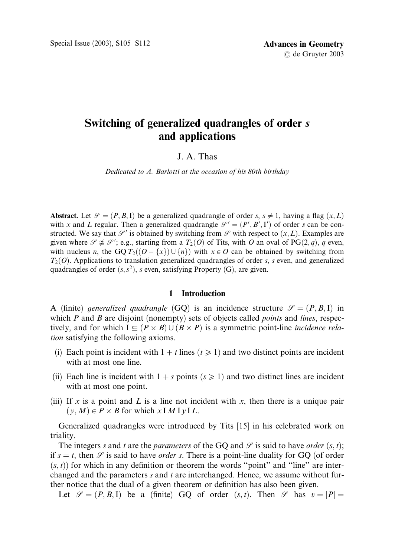# Switching of generalized quadrangles of order *s* and applications

## J. A. Thas

Dedicated to A. Barlotti at the occasion of his 80th birthday

Abstract. Let  $\mathcal{S} = (P, B, I)$  be a generalized quadrangle of order s,  $s \neq 1$ , having a flag  $(x, L)$ with x and L regular. Then a generalized quadrangle  $\mathcal{S}' = (P', B', I')$  of order s can be constructed. We say that  $\mathscr{S}'$  is obtained by switching from  $\mathscr{S}$  with respect to  $(x, L)$ . Examples are given where  $\mathscr{S} \not\cong \mathscr{S}'$ ; e.g., starting from a  $T_2(O)$  of Tits, with O an oval of PG $(2, q)$ , q even, with nucleus n, the GO  $T_2((O - \{x\}) \cup \{n\})$  with  $x \in O$  can be obtained by switching from  $T_2(\mathcal{O})$ . Applications to translation generalized quadrangles of order s, s even, and generalized quadrangles of order  $(s, s^2)$ , s even, satisfying Property (G), are given.

#### 1 Introduction

A (finite) generalized quadrangle (GO) is an incidence structure  $\mathcal{S} = (P, B, I)$  in which  $P$  and  $B$  are disjoint (nonempty) sets of objects called *points* and *lines*, respectively, and for which  $I \subseteq (P \times B) \cup (B \times P)$  is a symmetric point-line *incidence rela*tion satisfying the following axioms.

- (i) Each point is incident with  $1 + t$  lines  $(t \ge 1)$  and two distinct points are incident with at most one line.
- (ii) Each line is incident with  $1 + s$  points  $(s \ge 1)$  and two distinct lines are incident with at most one point.
- (iii) If x is a point and L is a line not incident with x, then there is a unique pair  $(y, M) \in P \times B$  for which  $x \in M$  I  $y \in L$ .

Generalized quadrangles were introduced by Tits [15] in his celebrated work on triality.

The integers s and t are the parameters of the GQ and  $\mathcal{S}$  is said to have order  $(s, t)$ ; if  $s = t$ , then  $\mathscr S$  is said to have *order s*. There is a point-line duality for GQ (of order  $(s, t)$  for which in any definition or theorem the words "point" and "line" are interchanged and the parameters s and t are interchanged. Hence, we assume without further notice that the dual of a given theorem or definition has also been given.

Let  $\mathcal{S} = (P, B, I)$  be a (finite) GO of order  $(s, t)$ . Then  $\mathcal{S}$  has  $v = |P|$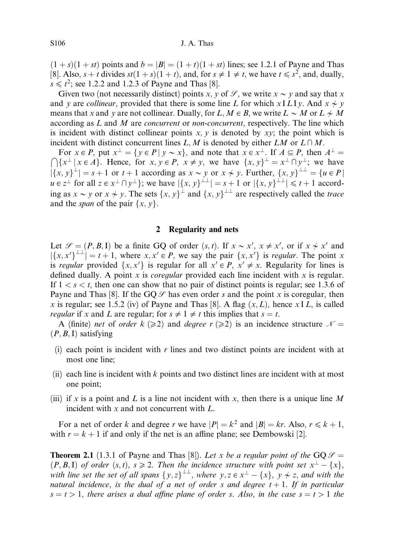$(1 + s)(1 + st)$  points and  $b = |B| = (1 + t)(1 + st)$  lines; see 1.2.1 of Payne and Thas [8]. Also,  $s + t$  divides  $st(1 + s)(1 + t)$ , and, for  $s \neq 1 \neq t$ , we have  $t \leq s^2$ , and, dually,  $s \le t^2$ ; see 1.2.2 and 1.2.3 of Payne and Thas [8].

Given two (not necessarily distinct) points x, y of  $\mathcal{S}$ , we write  $x \sim y$  and say that x and y are collinear, provided that there is some line L for which x I LI y. And  $x \neq y$ means that x and y are not collinear. Dually, for L,  $M \in B$ , we write  $L \sim M$  or  $L \not\sim M$ according as  $L$  and  $M$  are *concurrent* or *non-concurrent*, respectively. The line which is incident with distinct collinear points  $x, y$  is denoted by  $xy$ ; the point which is incident with distinct concurrent lines L, M is denoted by either LM or  $L \cap M$ .

For  $x \in P$ , put  $x^{\perp} = \{y \in P | y \sim x\}$ , and note that  $x \in x^{\perp}$ . If  $A \subseteq P$ , then  $A^{\perp} = \{y \in P | y \sim x\}$ .  $\bigcap \{x^{\perp} | x \in A\}$ . Hence, for  $x, y \in P$ ,  $x \neq y$ , we have  $\{x, y\}^{\perp} = x^{\perp} \cap y^{\perp}$ ; we have  $|\{x, y\}^{\perp}| = s + 1$  or  $t + 1$  according as  $x \sim y$  or  $x \not\sim y$ . Further,  $\{x, y\}^{\perp \perp} = \{u \in P |$  $u \in z^{\perp}$  for all  $z \in x^{\perp} \cap y^{\perp}$ ; we have  $|\{x, y\}^{\perp\perp}| = s + 1$  or  $|\{x, y\}^{\perp\perp}| \leq t + 1$  according as  $x \sim y$  or  $x \not\sim y$ . The sets  $\{x, y\}^{\perp}$  and  $\{x, y\}^{\perp\perp}$  are respectively called the trace and the *span* of the pair  $\{x, y\}$ .

#### 2 Regularity and nets

Let  $\mathcal{S} = (P, B, I)$  be a finite GQ of order  $(s, t)$ . If  $x \sim x'$ ,  $x \neq x'$ , or if  $x \not\sim x'$  and  $|\{x, x'\}^{\perp\perp}| = t + 1$ , where  $x, x' \in P$ , we say the pair  $\{x, x'\}$  is *regular*. The point x is regular provided  $\{x, x'\}$  is regular for all  $x' \in P$ ,  $x' \neq x$ . Regularity for lines is defined dually. A point  $x$  is *coregular* provided each line incident with  $x$  is regular. If  $1 < s < t$ , then one can show that no pair of distinct points is regular; see 1.3.6 of Payne and Thas [8]. If the  $GQ \mathcal{S}$  has even order s and the point x is coregular, then x is regular; see 1.5.2 (iv) of Payne and Thas [8]. A flag  $(x, L)$ , hence x I L, is called *regular* if x and L are regular; for  $s \neq 1 \neq t$  this implies that  $s = t$ .

A (finite) net of order  $k$  ( $\geq$ 2) and degree r ( $\geq$ 2) is an incidence structure  $\mathcal{N} =$  $(P, B, I)$  satisfying

- (i) each point is incident with r lines and two distinct points are incident with at most one line;
- (ii) each line is incident with k points and two distinct lines are incident with at most one point;
- (iii) if x is a point and L is a line not incident with x, then there is a unique line M incident with  $x$  and not concurrent with  $L$ .

For a net of order k and degree r we have  $|P| = k^2$  and  $|B| = kr$ . Also,  $r \le k + 1$ , with  $r = k + 1$  if and only if the net is an affine plane; see Dembowski [2].

**Theorem 2.1** (1.3.1 of Payne and Thas [8]). Let x be a regular point of the GQ  $\mathcal{S} =$  $(P, B, I)$  of order  $(s, t), s \ge 2$ . Then the incidence structure with point set  $x^{\perp} - \{x\}$ , with line set the set of all spans  $\{y, z\}^{\perp\perp}$ , where  $y, z \in x^{\perp} - \{x\}$ ,  $y \nleftrightarrow z$ , and with the natural incidence, is the dual of a net of order s and degree  $t + 1$ . If in particular  $s = t > 1$ , there arises a dual affine plane of order s. Also, in the case  $s = t > 1$  the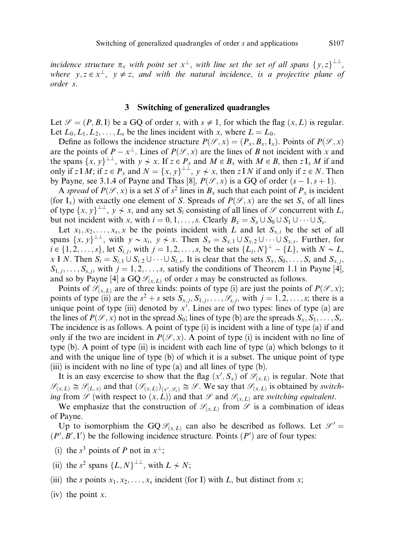incidence structure  $\pi_x$  with point set  $x^{\perp}$ , with line set the set of all spans  $\{y, z\}^{\perp \perp}$ , where  $y, z \in x^{\perp}$ ,  $y \neq z$ , and with the natural incidence, is a projective plane of order s.

#### 3 Switching of generalized quadrangles

Let  $\mathcal{S} = (P, B, I)$  be a GQ of order s, with  $s \neq 1$ , for which the flag  $(x, L)$  is regular. Let  $L_0, L_1, L_2, \ldots, L_s$  be the lines incident with x, where  $L = L_0$ .

Define as follows the incidence structure  $P(\mathcal{S}, x) = (P_x, B_x, I_x)$ . Points of  $P(\mathcal{S}, x)$ are the points of  $P - x^{\perp}$ . Lines of  $P(\mathcal{S}, x)$  are the lines of B not incident with x and the spans  $\{x, y\}^{\perp \perp}$ , with  $y \neq x$ . If  $z \in P_x$  and  $M \in B_x$  with  $M \in B$ , then  $z I_x M$  if and only if  $z \in M$ ; if  $z \in P_x$  and  $N = \{x, y\}^{\perp \perp}$ ,  $y \nsim x$ , then  $z \in N$  if and only if  $z \in N$ . Then by Payne, see 3.1.4 of Payne and Thas [8],  $P(\mathcal{S}, x)$  is a GQ of order  $(s - 1, s + 1)$ .

A spread of  $P(\mathcal{S}, x)$  is a set S of  $s^2$  lines in  $B_x$  such that each point of  $P_x$  is incident (for I<sub>x</sub>) with exactly one element of S. Spreads of  $P(\mathcal{S}, x)$  are the set S<sub>x</sub> of all lines of type  $\{x, y\}^{\perp\perp}$ ,  $y \neq x$ , and any set  $S_i$  consisting of all lines of  $\mathscr S$  concurrent with  $L_i$ but not incident with x, with  $i = 0, 1, \ldots, s$ . Clearly  $B_x = S_x \cup S_0 \cup S_1 \cup \cdots \cup S_s$ .

Let  $x_1, x_2, \ldots, x_s, x$  be the points incident with L and let  $S_{x,i}$  be the set of all spans  $\{x, y\}^{\perp\perp}$ , with  $y \sim x_i$ ,  $y \not\sim x$ . Then  $S_x = S_{x,1} \cup S_{x,2} \cup \cdots \cup S_{x,s}$ . Further, for  $i \in \{1, 2, \ldots, s\}$ , let  $S_{i,j}$ , with  $j = 1, 2, \ldots, s$ , be the sets  $\{L_i, N\}^{\perp} - \{L\}$ , with  $N \sim L$ , x I N. Then  $S_i = S_{i,1} \cup S_{i,2} \cup \cdots \cup S_{i,s}$ . It is clear that the sets  $S_x, S_0, \ldots, S_s$  and  $S_{x,i}$ ;  $S_{1,j}, \ldots, S_{s,j}$ , with  $j = 1, 2, \ldots, s$ , satisfy the conditions of Theorem 1.1 in Payne [4], and so by Payne [4] a GQ  $\mathcal{S}_{(x,L)}$  of order s may be constructed as follows.

Points of  $\mathcal{S}_{(x,L)}$  are of three kinds: points of type (i) are just the points of  $P(\mathcal{S}, x)$ ; points of type (ii) are the  $s^2 + s$  sets  $S_{x, j}$ ,  $S_{1, j}$ ,  $\ldots$ ,  $S_{s, j}$ , with  $j = 1, 2, \ldots, s$ ; there is a unique point of type (iii) denoted by  $x'$ . Lines are of two types: lines of type (a) are the lines of  $P(\mathcal{S}, x)$  not in the spread  $S_0$ ; lines of type (b) are the spreads  $S_x, S_1, \ldots, S_s$ . The incidence is as follows. A point of type (i) is incident with a line of type (a) if and only if the two are incident in  $P(\mathcal{S}, x)$ . A point of type (i) is incident with no line of type (b). A point of type (ii) is incident with each line of type (a) which belongs to it and with the unique line of type (b) of which it is a subset. The unique point of type (iii) is incident with no line of type (a) and all lines of type (b).

It is an easy excercise to show that the flag  $(x', S_x)$  of  $\mathscr{S}_{(x,L)}$  is regular. Note that  $\mathscr{S}_{(x,L)} \cong \mathscr{S}_{(L,x)}$  and that  $(\mathscr{S}_{(x,L)})_{(x',\mathscr{S}_x)} \cong \mathscr{S}$ . We say that  $\mathscr{S}_{(x,L)}$  is obtained by switching from  $\mathscr S$  (with respect to  $(x, L)$ ) and that  $\mathscr S$  and  $\mathscr S_{(x, L)}$  are switching equivalent.

We emphasize that the construction of  $\mathcal{S}_{(x,L)}$  from  $\mathcal{S}$  is a combination of ideas of Payne.

Up to isomorphism the GQ  $\mathcal{S}_{(x,L)}$  can also be described as follows. Let  $\mathcal{S}' =$  $(P', B', I')$  be the following incidence structure. Points  $(P')$  are of four types:

- (i) the  $s^3$  points of P not in  $x^{\perp}$ ;
- (ii) the  $s^2$  spans  $\{L, N\}^{\perp \perp}$ , with  $L \nsim N$ ;
- (iii) the s points  $x_1, x_2, \ldots, x_s$  incident (for I) with L, but distinct from x;

(iv) the point  $x$ .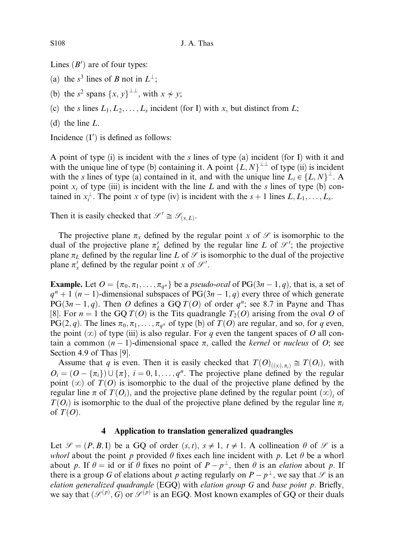Lines  $(B')$  are of four types:

- (a) the  $s^3$  lines of B not in  $L^{\perp}$ ;
- (b) the s<sup>2</sup> spans  $\{x, y\}^{\perp\perp}$ , with  $x \neq y$ ;
- (c) the s lines  $L_1, L_2, \ldots, L_s$  incident (for I) with x, but distinct from L;
- (d) the line L.

Incidence  $(I')$  is defined as follows:

A point of type  $(i)$  is incident with the  $s$  lines of type  $(a)$  incident (for I) with it and with the unique line of type (b) containing it. A point  $\{L, N\}^{\perp\perp}$  of type (ii) is incident with the s lines of type (a) contained in it, and with the unique line  $L_i \in \{L, N\}^{\perp}$ . A point  $x_i$  of type (iii) is incident with the line L and with the s lines of type (b) contained in  $x_i^{\perp}$ . The point x of type (iv) is incident with the  $s + 1$  lines  $L, L_1, \ldots, L_s$ .

Then it is easily checked that  $\mathcal{S}' \cong \mathcal{S}_{(x,L)}$ .

The projective plane  $\pi_x$  defined by the regular point x of  $\mathscr S$  is isomorphic to the dual of the projective plane  $\pi'_L$  defined by the regular line L of  $\mathcal{S}'$ ; the projective plane  $\pi_L$  defined by the regular line L of  $\mathcal G$  is isomorphic to the dual of the projective plane  $\pi'_x$  defined by the regular point x of  $\mathcal{S}'$ .

**Example.** Let  $O = {\pi_0, \pi_1, \ldots, \pi_{a^n}}$  be a *pseudo-oval* of PG $(3n - 1, q)$ , that is, a set of  $q^{n} + 1$   $(n - 1)$ -dimensional subspaces of PG $(3n - 1, q)$  every three of which generate  $PG(3n-1, q)$ . Then O defines a GQ  $T(O)$  of order  $q^n$ ; see 8.7 in Payne and Thas [8]. For  $n = 1$  the GQ  $T(\theta)$  is the Tits quadrangle  $T_2(\theta)$  arising from the oval O of  $PG(2, q)$ . The lines  $\pi_0, \pi_1, \ldots, \pi_{q^n}$  of type (b) of  $T(O)$  are regular, and so, for q even, the point  $(\infty)$  of type (iii) is also regular. For q even the tangent spaces of O all contain a common  $(n - 1)$ -dimensional space  $\pi$ , called the *kernel* or *nucleus* of *O*; see Section 4.9 of Thas [9].

Assume that q is even. Then it is easily checked that  $T(O)_{((\infty),\pi_i)} \cong T(O_i)$ , with  $O_i = (O - \{\pi_i\}) \cup \{\pi\}, i = 0, 1, \dots, q^n$ . The projective plane defined by the regular point  $(\infty)$  of  $T(\mathcal{O})$  is isomorphic to the dual of the projective plane defined by the regular line  $\pi$  of  $T(O_i)$ , and the projective plane defined by the regular point  $(\infty)$ , of  $T(O_i)$  is isomorphic to the dual of the projective plane defined by the regular line  $\pi_i$ of  $T(O)$ .

## 4 Application to translation generalized quadrangles

Let  $\mathcal{S} = (P, B, I)$  be a GQ of order  $(s, t), s \neq 1, t \neq 1$ . A collineation  $\theta$  of  $\mathcal{S}$  is a whorl about the point p provided  $\theta$  fixes each line incident with p. Let  $\theta$  be a whorl about p. If  $\theta = id$  or if  $\theta$  fixes no point of  $P - p^{\perp}$ , then  $\theta$  is an *elation* about p. If there is a group G of elations about p acting regularly on  $P - p^{\perp}$ , we say that  $\mathscr S$  is an elation generalized quadrangle  $(EGQ)$  with elation group G and base point p. Briefly, we say that  $(\mathcal{S}^{(p)}, G)$  or  $\mathcal{S}^{(p)}$  is an EGQ. Most known examples of GQ or their duals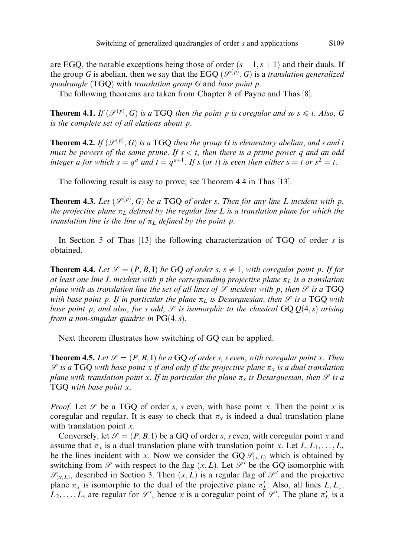are EGQ, the notable exceptions being those of order  $(s - 1, s + 1)$  and their duals. If the group G is abelian, then we say that the EGQ  $(\mathcal{S}^{(p)}, G)$  is a translation generalized quadrangle (TGQ) with translation group G and base point p.

The following theorems are taken from Chapter 8 of Payne and Thas [8].

**Theorem 4.1.** If  $(\mathcal{S}^{(p)}, G)$  is a TGQ then the point p is coregular and so  $s \leq t$ . Also, G is the complete set of all elations about p.

**Theorem 4.2.** If  $(\mathscr{S}^{(p)}, G)$  is a TGQ then the group G is elementary abelian, and s and t must be powers of the same prime. If  $s < t$ , then there is a prime power q and an odd integer a for which  $s = q^a$  and  $t = q^{a+1}$ . If s (or t) is even then either  $s = t$  or  $s^2 = t$ .

The following result is easy to prove; see Theorem 4.4 in Thas [13].

**Theorem 4.3.** Let  $(\mathcal{S}^{(p)}, G)$  be a TGQ of order s. Then for any line L incident with p, the projective plane  $\pi_L$  defined by the regular line L is a translation plane for which the translation line is the line of  $\pi_L$  defined by the point p.

In Section 5 of Thas  $[13]$  the following characterization of TGQ of order s is obtained.

**Theorem 4.4.** Let  $\mathcal{S} = (P, B, I)$  be GO of order s,  $s \neq 1$ , with coregular point p. If for at least one line L incident with p the corresponding projective plane  $\pi_L$  is a translation plane with as translation line the set of all lines of  $\mathcal G$  incident with p, then  $\mathcal G$  is a TGQ with base point p. If in particular the plane  $\pi_L$  is Desarguesian, then  $\mathscr S$  is a TGQ with base point p, and also, for s odd,  $\mathcal G$  is isomorphic to the classical GQ  $Q(4, s)$  arising from a non-singular quadric in  $PG(4, s)$ .

Next theorem illustrates how switching of GQ can be applied.

**Theorem 4.5.** Let  $\mathcal{S} = (P, B, I)$  be a GQ of order s, s even, with coregular point x. Then  $S$  is a TGQ with base point x if and only if the projective plane  $\pi_x$  is a dual translation plane with translation point x. If in particular the plane  $\pi_x$  is Desarguesian, then  $\mathscr S$  is a TGQ with base point x.

*Proof.* Let  $\mathscr S$  be a TGQ of order s, s even, with base point x. Then the point x is coregular and regular. It is easy to check that  $\pi_x$  is indeed a dual translation plane with translation point  $x$ .

Conversely, let  $\mathcal{S} = (P, B, I)$  be a GQ of order s, s even, with coregular point x and assume that  $\pi_x$  is a dual translation plane with translation point x. Let  $L, L_1, \ldots, L_s$ be the lines incident with x. Now we consider the  $GQ \mathcal{S}_{(x,L)}$  which is obtained by switching from  $\mathscr S$  with respect to the flag  $(x, L)$ . Let  $\mathscr S'$  be the GQ isomorphic with  $\mathscr{S}_{(x,L)}$ , described in Section 3. Then  $(x,L)$  is a regular flag of  $\mathscr{S}'$  and the projective plane  $\pi_x$  is isomorphic to the dual of the projective plane  $\pi'_L$ . Also, all lines  $L, L_1$ ,  $L_2, \ldots, L_s$  are regular for  $\mathcal{S}'$ , hence x is a coregular point of  $\mathcal{S}'$ . The plane  $\pi'_{L}$  is a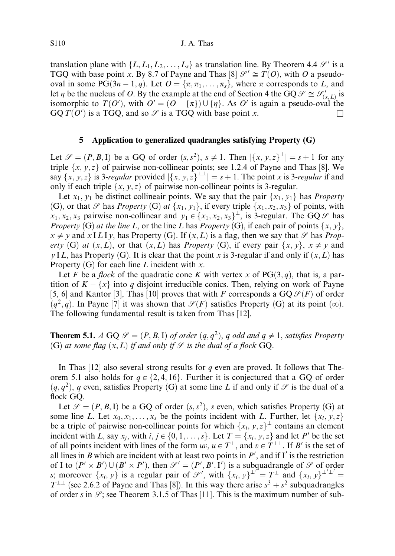S110 J. A. Thas

translation plane with  $\{L, L_1, L_2, \ldots, L_s\}$  as translation line. By Theorem 4.4  $\mathcal{S}'$  is a TGQ with base point x. By 8.7 of Payne and Thas [8]  $\mathcal{S}' \cong T(O)$ , with O a pseudooval in some PG $(3n - 1, q)$ . Let  $O = {\pi, \pi_1, \dots, \pi_s}$ , where  $\pi$  corresponds to L, and let  $\eta$  be the nucleus of O. By the example at the end of Section 4 the GQ  $\mathscr{S} \cong \mathscr{S}'_{(x,L)}$  is isomorphic to  $T(O')$ , with  $O' = (O - \{\pi\}) \cup \{\eta\}$ . As O' is again a pseudo-oval the  $GQ T(O')$  is a TGQ, and so  $\mathscr S$  is a TGQ with base point x.

### 5 Application to generalized quadrangles satisfying Property (G)

Let  $\mathcal{S} = (P, B, I)$  be a GQ of order  $(s, s^2), s \neq 1$ . Then  $|\{x, y, z\}^{\perp}| = s + 1$  for any triple  $\{x, y, z\}$  of pairwise non-collinear points; see 1.2.4 of Payne and Thas [8]. We say  $\{x, y, z\}$  is 3-regular provided  $|\{x, y, z\}^{\perp\perp}| = s + 1$ . The point x is 3-regular if and only if each triple  $\{x, y, z\}$  of pairwise non-collinear points is 3-regular.

Let  $x_1, y_1$  be distinct collineair points. We say that the pair  $\{x_1, y_1\}$  has *Property* (G), or that  $\mathscr S$  has *Property* (G) at  $\{x_1, y_1\}$ , if every triple  $\{x_1, x_2, x_3\}$  of points, with  $x_1, x_2, x_3$  pairwise non-collinear and  $y_1 \in \{x_1, x_2, x_3\}^{\perp}$ , is 3-regular. The GQ  $\mathscr{S}$  has *Property* (G) *at the line L*, or the line *L* has *Property* (G), if each pair of points  $\{x, y\}$ ,  $x \neq y$  and  $x \perp L I y$ , has Property (G). If  $(x, L)$  is a flag, then we say that  $\mathscr S$  has Property (G) at  $(x, L)$ , or that  $(x, L)$  has *Property* (G), if every pair  $\{x, y\}$ ,  $x \neq y$  and y IL, has Property (G). It is clear that the point x is 3-regular if and only if  $(x, L)$  has Property  $(G)$  for each line L incident with x.

Let F be a flock of the quadratic cone K with vertex x of  $PG(3, q)$ , that is, a partition of  $K - \{x\}$  into q disjoint irreducible conics. Then, relying on work of Payne [5, 6] and Kantor [3], Thas [10] proves that with F corresponds a  $GQ \mathcal{S}(F)$  of order  $(q^2, q)$ . In Payne [7] it was shown that  $\mathcal{S}(F)$  satisfies Property (G) at its point  $(\infty)$ . The following fundamental result is taken from Thas [12].

**Theorem 5.1.** A GQ  $\mathcal{S} = (P, B, I)$  of order  $(q, q^2)$ , q odd and  $q \neq 1$ , satisfies Property (G) at some flag  $(x, L)$  if and only if  $\mathcal G$  is the dual of a flock GQ.

In Thas  $[12]$  also several strong results for q even are proved. It follows that Theorem 5.1 also holds for  $q \in \{2, 4, 16\}$ . Further it is conjectured that a GQ of order  $(q, q^2)$ , q even, satisfies Property (G) at some line L if and only if  $\mathscr S$  is the dual of a flock GQ.

Let  $\mathcal{S} = (P, B, I)$  be a GQ of order  $(s, s^2)$ , s even, which satisfies Property (G) at some line L. Let  $x_0, x_1, \ldots, x_s$  be the points incident with L. Further, let  $\{x_i, y, z\}$ be a triple of pairwise non-collinear points for which  $\{x_i, y, z\}^{\perp}$  contains an element incident with L, say  $x_i$ , with  $i, j \in \{0, 1, \ldots, s\}$ . Let  $T = \{x_i, y, z\}$  and let P' be the set of all points incident with lines of the form  $uv, u \in T^{\perp}$ , and  $v \in T^{\perp}$ . If B' is the set of all lines in B which are incident with at least two points in  $P'$ , and if I' is the restriction of I to  $(P' \times B') \cup (B' \times P')$ , then  $\mathcal{S}' = (P', B', I')$  is a subquadrangle of  $\mathcal{S}$  of order s; moreover  $\{x_i, y\}$  is a regular pair of  $\mathscr{S}'$ , with  $\{x_i, y\}^{\perp'} = T^{\perp}$  and  $\{x_i, y\}^{\perp'\perp'} =$  $T^{\perp\perp}$  (see 2.6.2 of Payne and Thas [8]). In this way there arise  $s^3 + s^2$  subquadrangles of order s in  $\mathcal{S}$ ; see Theorem 3.1.5 of Thas [11]. This is the maximum number of sub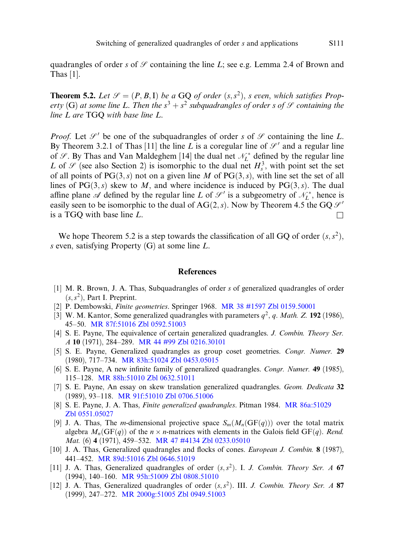quadrangles of order s of  $\mathcal S$  containing the line L; see e.g. Lemma 2.4 of Brown and Thas [1].

**Theorem 5.2.** Let  $\mathcal{S} = (P, B, I)$  be a GQ of order  $(s, s^2)$ , s even, which satisfies Property (G) at some line L. Then the  $s^3 + s^2$  subquadrangles of order s of  $\mathcal G$  containing the line L are TGQ with base line L.

*Proof.* Let  $\mathcal{S}'$  be one of the subquadrangles of order s of  $\mathcal{S}$  containing the line L. By Theorem 3.2.1 of Thas [11] the line L is a coregular line of  $\mathcal{S}'$  and a regular line of  $\mathcal{S}$ . By Thas and Van Maldeghem [14] the dual net  $\mathcal{N}_L^*$  defined by the regular line L of  $\mathscr S$  (see also Section 2) is isomorphic to the dual net  $H_s^3$ , with point set the set of all points of  $PG(3, s)$  not on a given line M of  $PG(3, s)$ , with line set the set of all lines of PG $(3, s)$  skew to M, and where incidence is induced by PG $(3, s)$ . The dual affine plane A defined by the regular line L of  $\mathcal{S}'$  is a subgeometry of  $\mathcal{N}_L^*$ , hence is easily seen to be isomorphic to the dual of AG $(2, s)$ . Now by Theorem 4.5 the GQ  $\mathcal{S}'$ is a TGQ with base line L.

We hope Theorem 5.2 is a step towards the classification of all GQ of order  $(s, s^2)$ , s even, satisfying Property  $(G)$  at some line L.

#### References

- [1] M. R. Brown, J. A. Thas, Subquadrangles of order s of generalized quadrangles of order  $(s, s^2)$ , Part I. Preprint.
- [2] P. Dembowski, Finite geometries. Springer 1968. [MR 38 #1597](http://www.ams.org/mathscinet-getitem?mr=38:1597) [Zbl 0159.50001](http://www.emis.de/MATH-item?0159.50001)
- [3] W. M. Kantor, Some generalized quadrangles with parameters  $q^2$ , q. Math. Z. 192 (1986), 45–50. [MR 87f:51016](http://www.ams.org/mathscinet-getitem?mr=87f:51016) [Zbl 0592.51003](http://www.emis.de/MATH-item?0592.51003)
- [4] S. E. Payne, The equivalence of certain generalized quadrangles. J. Combin. Theory Ser. A 10 (1971), 284–289. [MR 44 #99](http://www.ams.org/mathscinet-getitem?mr=44:99) [Zbl 0216.30101](http://www.emis.de/MATH-item?0216.30101)
- [5] S. E. Payne, Generalized quadrangles as group coset geometries. Congr. Numer. 29 (1980), 717–734. [MR 83h:51024](http://www.ams.org/mathscinet-getitem?mr=83h:51024) [Zbl 0453.05015](http://www.emis.de/MATH-item?0453.05015)
- [6] S. E. Payne, A new infinite family of generalized quadrangles. Congr. Numer. 49 (1985), 115–128. [MR 88h:51010](http://www.ams.org/mathscinet-getitem?mr=88h:51010) [Zbl 0632.51011](http://www.emis.de/MATH-item?0632.51011)
- [7] S. E. Payne, An essay on skew translation generalized quadrangles. Geom. Dedicata 32 (1989), 93–118. [MR 91f:51010](http://www.ams.org/mathscinet-getitem?mr=91f:51010) [Zbl 0706.51006](http://www.emis.de/MATH-item?0706.51006)
- [8] S. E. Payne, J. A. Thas, Finite generalized quadrangles. Pitman 1984. [MR 86a:51029](http://www.ams.org/mathscinet-getitem?mr=86a:51029) [Zbl 0551.05027](http://www.emis.de/MATH-item?0551.05027)
- [9] J. A. Thas, The *m*-dimensional projective space  $S_m(M_n(GF(q)))$  over the total matrix algebra  $M_n(\text{GF}(q))$  of the  $n \times n$ -matrices with elements in the Galois field  $\text{GF}(q)$ . Rend. Mat. (6) 4 (1971), 459-532. [MR 47 #4134](http://www.ams.org/mathscinet-getitem?mr=47:4134) [Zbl 0233.05010](http://www.emis.de/MATH-item?0233.05010)
- [10] J. A. Thas, Generalized quadrangles and flocks of cones. European J. Combin. 8 (1987), 441–452. [MR 89d:51016](http://www.ams.org/mathscinet-getitem?mr=89d:51016) [Zbl 0646.51019](http://www.emis.de/MATH-item?0646.51019)
- [11] J. A. Thas, Generalized quadrangles of order  $(s, s^2)$ . I. J. Combin. Theory Ser. A 67 (1994), 140–160. [MR 95h:51009](http://www.ams.org/mathscinet-getitem?mr=95h:51009) [Zbl 0808.51010](http://www.emis.de/MATH-item?0808.51010)
- [12] J. A. Thas, Generalized quadrangles of order  $(s, s^2)$ . III. J. Combin. Theory Ser. A 87 (1999), 247–272. [MR 2000g:51005](http://www.ams.org/mathscinet-getitem?mr=2000g:51005) [Zbl 0949.51003](http://www.emis.de/MATH-item?0949.51003)